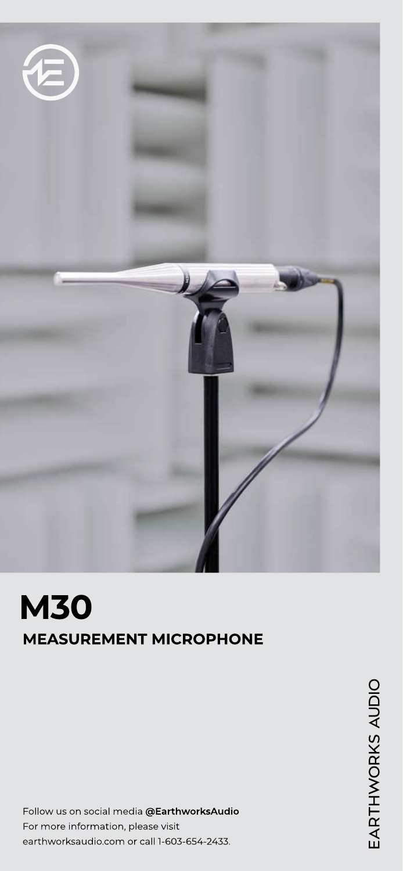

# M30 MEASUREMENT MICROPHONE

Follow us on social media @EarthworksAudio For more information, please visit earthworksaudio.com or call 1-603-654-2433.

EARTHWORKS AUDIO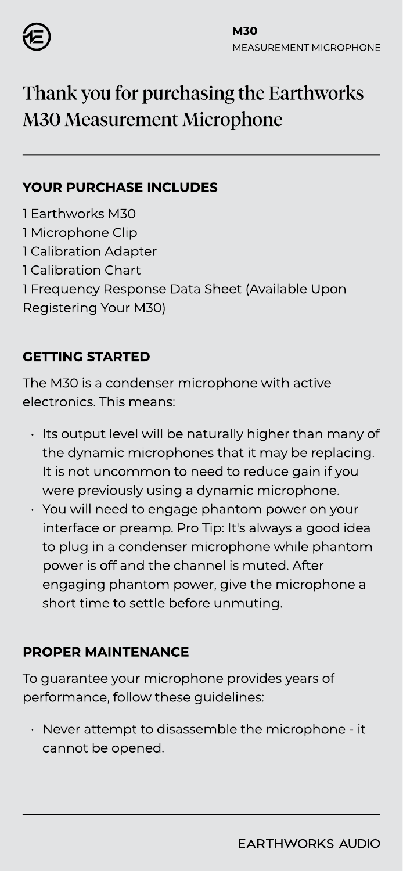

# Thank you for purchasing the Earthworks M30 Measurement Microphone

#### YOUR PURCHASE INCLUDES

- 1 Earthworks M30
- 1 Microphone Clip
- 1 Calibration Adapter
- 1 Calibration Chart
- 1 Frequency Response Data Sheet (Available Upon
- Registering Your M30)

# GETTING STARTED

The M30 is a condenser microphone with active electronics. This means:

- Its output level will be naturally higher than many of the dynamic microphones that it may be replacing. It is not uncommon to need to reduce gain if you were previously using a dynamic microphone.
- ` You will need to engage phantom power on your interface or preamp. Pro Tip: It's always a good idea to plug in a condenser microphone while phantom power is off and the channel is muted. After engaging phantom power, give the microphone a short time to settle before unmuting.

### PROPER MAINTENANCE

To guarantee your microphone provides years of performance, follow these guidelines:

Never attempt to disassemble the microphone - it cannot be opened.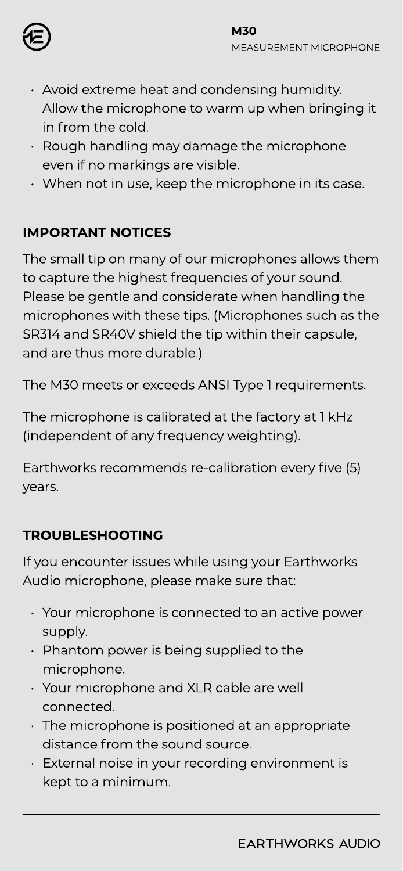

- $\cdot$  Avoid extreme heat and condensing humidity. Allow the microphone to warm up when bringing it in from the cold.
- ) Rough handling may damage the microphone even if no markings are visible.
- $\cdot$  When not in use, keep the microphone in its case.

# IMPORTANT NOTICES

The small tip on many of our microphones allows them to capture the highest frequencies of your sound. Please be gentle and considerate when handling the microphones with these tips. (Microphones such as the SR314 and SR40V shield the tip within their capsule, and are thus more durable.)

The M30 meets or exceeds ANSI Type 1 requirements.

The microphone is calibrated at the factory at 1 kHz (independent of any frequency weighting).

Earthworks recommends re-calibration every five (5) years.

# TROUBLESHOOTING

If you encounter issues while using your Earthworks Audio microphone, please make sure that

- ) Your microphone is connected to an active power supply.
- ) Phantom power is being supplied to the microphone.
- ) Your microphone and XLR cable are well connected.
- $\cdot$  The microphone is positioned at an appropriate distance from the sound source.
- $\cdot$  External noise in your recording environment is kept to a minimum.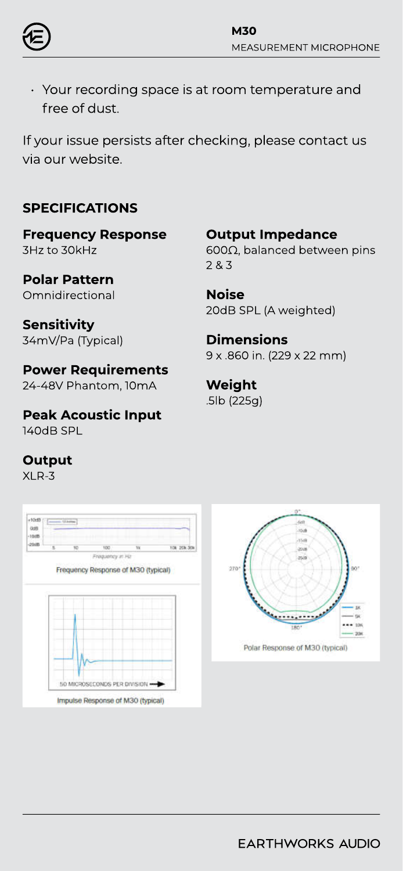

Your recording space is at room temperature and free of dust.

If your issue persists after checking, please contact us via our website.

#### SPECIFICATIONS

Frequency Response 3Hz to 30kHz

Polar Pattern **Omnidirectional** 

**Sensitivity** 34mV/Pa (Typical)

# Power Requirements

24-48V Phantom, 10mA

Peak Acoustic Input 140dB SPL

#### **Output**

XLR-3





Output Impedance 600Ω, balanced between pins 2 & 3

Noise 20dB SPL (A weighted)

#### **Dimensions** 9 x .860 in. (229 x 22 mm)

Weight .5lb (225g)